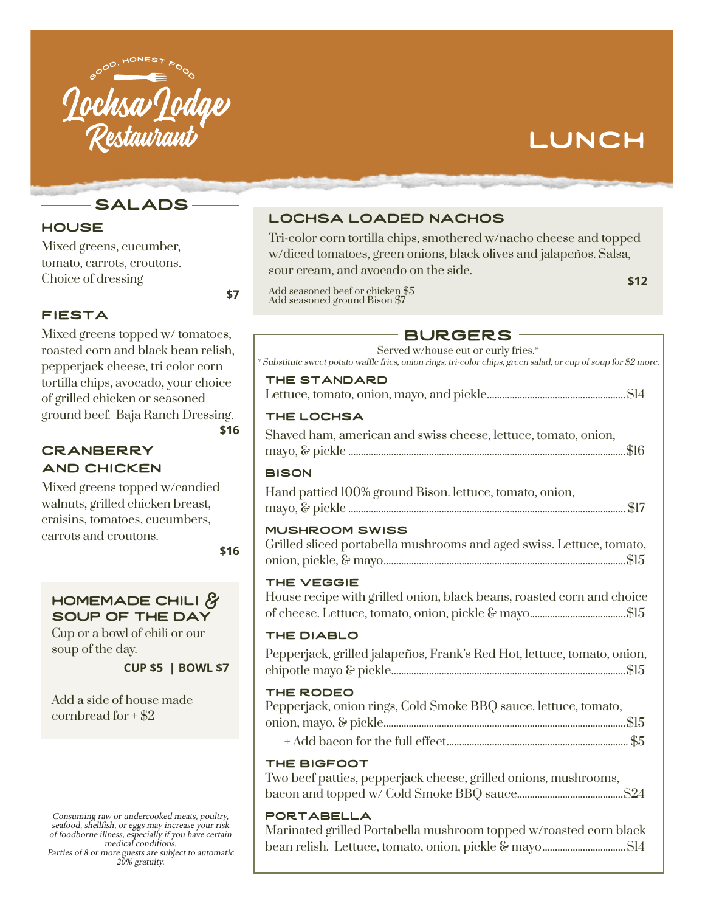

# LUNCH

**SALADS** 

# **HOUSE**

Mixed greens, cucumber, tomato, carrots, croutons. Choice of dressing

# **FIESTA**

Mixed greens topped w/ tomatoes, roasted corn and black bean relish, pepperjack cheese, tri color corn tortilla chips, avocado, your choice of grilled chicken or seasoned ground beef. Baja Ranch Dressing. **\$16**

## **CRANBERRY** and Chicken

Mixed greens topped w/candied walnuts, grilled chicken breast, craisins, tomatoes, cucumbers, carrots and croutons.

**\$16**

 **\$7** 

## homemade chili & soup of the day

Cup or a bowl of chili or our soup of the day.

**CUP \$5 | BOWL \$7**

Add a side of house made cornbread for  $+$  \$2

Consuming raw or undercooked meats, poultry, seafood, shellfish, or eggs may increase your risk of foodborne illness, especially if you have certain medical conditions.

Parties of 8 or more guests are subject to automatic 20% gratuity.

# lochsa loaded nachos

Tri-color corn tortilla chips, smothered w/nacho cheese and topped w/diced tomatoes, green onions, black olives and jalapeños. Salsa, sour cream, and avocado on the side. **\$12**

Add seasoned beef or chicken \$5 Add seasoned ground Bison \$7

# **BURGERS**

| Served w/house cut or curly fries.*<br>* Substitute sweet potato waffle fries, onion rings, tri-color chips, green salad, or cup of soup for \$2 more. |
|--------------------------------------------------------------------------------------------------------------------------------------------------------|
| THE STANDARD                                                                                                                                           |
| THE LOCHSA                                                                                                                                             |
| Shaved ham, american and swiss cheese, lettuce, tomato, onion,                                                                                         |
| <b>BISON</b>                                                                                                                                           |
| Hand pattied 100% ground Bison. lettuce, tomato, onion,                                                                                                |
| <b>MUSHROOM SWISS</b><br>Grilled sliced portabella mushrooms and aged swiss. Lettuce, tomato,                                                          |
| THE VEGGIE<br>House recipe with grilled onion, black beans, roasted corn and choice                                                                    |
| THE DIABLO                                                                                                                                             |
| Pepperjack, grilled jalapeños, Frank's Red Hot, lettuce, tomato, onion,                                                                                |
| THE RODEO<br>Pepperjack, onion rings, Cold Smoke BBQ sauce. lettuce, tomato,                                                                           |
|                                                                                                                                                        |
| THE BIGFOOT<br>Two beef patties, pepperjack cheese, grilled onions, mushrooms,                                                                         |
| <b>PORTABELLA</b>                                                                                                                                      |

Marinated grilled Portabella mushroom topped w/roasted corn black bean relish. Lettuce, tomato, onion, pickle & mayo.................................\$14